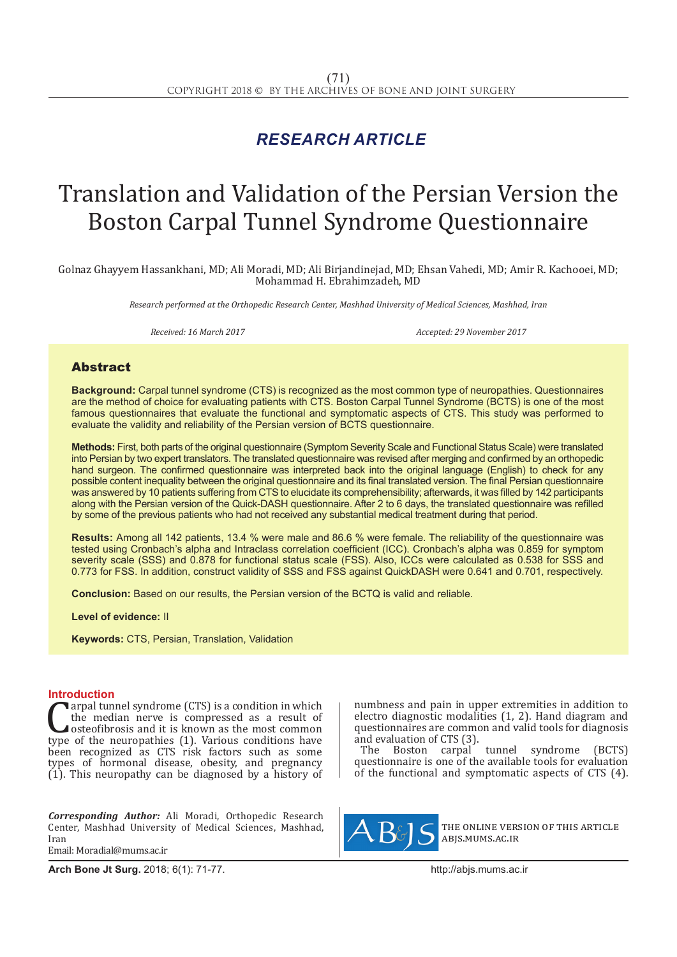# *RESEARCH ARTICLE*

# Translation and Validation of the Persian Version the Boston Carpal Tunnel Syndrome Questionnaire

Golnaz Ghayyem Hassankhani, MD; Ali Moradi, MD; Ali Birjandinejad, MD; Ehsan Vahedi, MD; Amir R. Kachooei, MD; Mohammad H. Ebrahimzadeh, MD

*Research performed at the Orthopedic Research Center, Mashhad University of Medical Sciences, Mashhad, Iran*

*Received: 16 March 2017 Accepted: 29 November 2017*

## Abstract

**Background:** Carpal tunnel syndrome (CTS) is recognized as the most common type of neuropathies. Questionnaires are the method of choice for evaluating patients with CTS. Boston Carpal Tunnel Syndrome (BCTS) is one of the most famous questionnaires that evaluate the functional and symptomatic aspects of CTS. This study was performed to evaluate the validity and reliability of the Persian version of BCTS questionnaire.

**Methods:** First, both parts of the original questionnaire (Symptom Severity Scale and Functional Status Scale) were translated into Persian by two expert translators. The translated questionnaire was revised after merging and confirmed by an orthopedic hand surgeon. The confirmed questionnaire was interpreted back into the original language (English) to check for any possible content inequality between the original questionnaire and its final translated version. The final Persian questionnaire was answered by 10 patients suffering from CTS to elucidate its comprehensibility; afterwards, it was filled by 142 participants along with the Persian version of the Quick-DASH questionnaire. After 2 to 6 days, the translated questionnaire was refilled by some of the previous patients who had not received any substantial medical treatment during that period.

**Results:** Among all 142 patients, 13.4 % were male and 86.6 % were female. The reliability of the questionnaire was tested using Cronbach's alpha and Intraclass correlation coefficient (ICC). Cronbach's alpha was 0.859 for symptom severity scale (SSS) and 0.878 for functional status scale (FSS). Also, ICCs were calculated as 0.538 for SSS and 0.773 for FSS. In addition, construct validity of SSS and FSS against QuickDASH were 0.641 and 0.701, respectively.

**Conclusion:** Based on our results, the Persian version of the BCTQ is valid and reliable.

**Level of evidence:** II

**Keywords:** CTS, Persian, Translation, Validation

**Introduction**<br>**C** argal tunnel syndrome (CTS) is a condition in which **Carpal tunnel syndrome (CTS) is a condition in which**<br>the median nerve is compressed as a result of<br>osteofibrosis and it is known as the most common<br>type of the neuropathies (1). Various conditions have<br>heap recognized as the median nerve is compressed as a result of osteofibrosis and it is known as the most common been recognized as CTS risk factors such as some types of hormonal disease, obesity, and pregnancy (1). This neuropathy can be diagnosed by a history of

*Corresponding Author:* Ali Moradi, Orthopedic Research Center, Mashhad University of Medical Sciences, Mashhad, Iran Email: Moradial@mums.ac.ir

numbness and pain in upper extremities in addition to electro diagnostic modalities (1, 2). Hand diagram and questionnaires are common and valid tools for diagnosis and evaluation of CTS (3).

The Boston carpal tunnel syndrome (BCTS) questionnaire is one of the available tools for evaluation of the functional and symptomatic aspects of CTS (4).



the online version of this article abjs.mums.ac.ir

**Arch Bone Jt Surg.** 2018; 6(1): 71-77.http://abjs.mums.ac.ir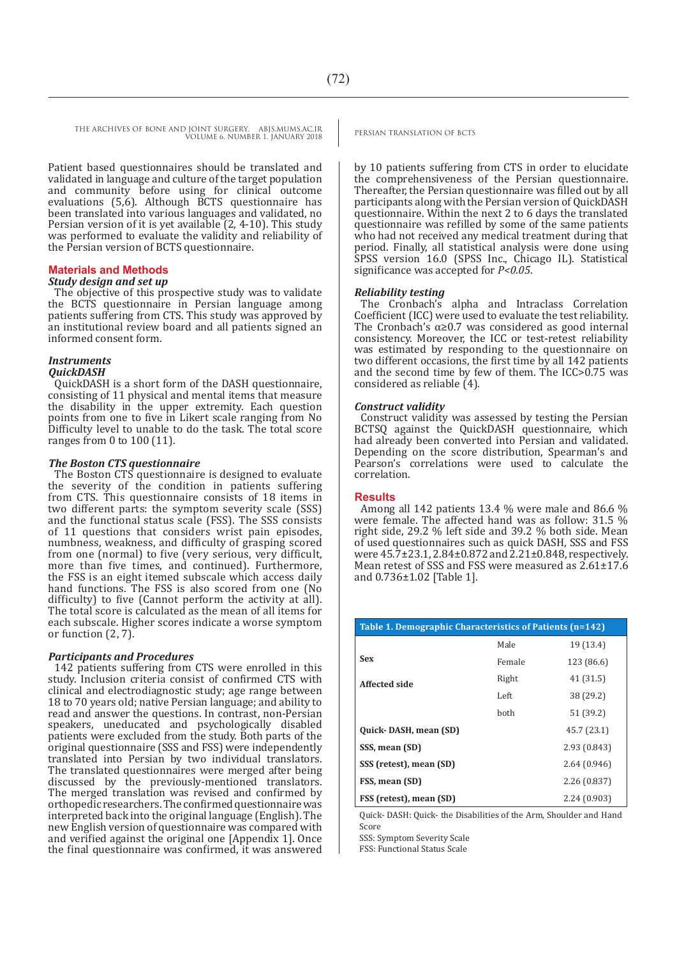THE ARCHIVES OF BONE AND JOINT SURGERY. ABJS.MUMS.AC.IR PERSIAN TRANSLATION OF BCTS VOLUME 6. NUMBER 1. JANUARY 2018

Patient based questionnaires should be translated and validated in language and culture of the target population and community before using for clinical outcome evaluations (5,6). Although BCTS questionnaire has been translated into various languages and validated, no Persian version of it is yet available (2, 4-10). This study was performed to evaluate the validity and reliability of the Persian version of BCTS questionnaire.

#### **Materials and Methods**

### *Study design and set up*

The objective of this prospective study was to validate the BCTS questionnaire in Persian language among patients suffering from CTS. This study was approved by an institutional review board and all patients signed an informed consent form.

# *Instruments*

*QuickDASH*  QuickDASH is a short form of the DASH questionnaire, consisting of 11 physical and mental items that measure the disability in the upper extremity. Each question points from one to five in Likert scale ranging from No Difficulty level to unable to do the task. The total score

#### *The Boston CTS questionnaire*

ranges from 0 to 100 (11).

The Boston CTS questionnaire is designed to evaluate the severity of the condition in patients suffering from CTS. This questionnaire consists of 18 items in two different parts: the symptom severity scale (SSS) and the functional status scale (FSS). The SSS consists of 11 questions that considers wrist pain episodes, numbness, weakness, and difficulty of grasping scored from one (normal) to five (very serious, very difficult, more than five times, and continued). Furthermore, the FSS is an eight itemed subscale which access daily hand functions. The FSS is also scored from one (No difficulty) to five (Cannot perform the activity at all). The total score is calculated as the mean of all items for each subscale. Higher scores indicate a worse symptom or function (2, 7).

#### *Participants and Procedures*

142 patients suffering from CTS were enrolled in this study. Inclusion criteria consist of confirmed CTS with clinical and electrodiagnostic study; age range between 18 to 70 years old; native Persian language; and ability to read and answer the questions. In contrast, non-Persian speakers, uneducated and psychologically disabled patients were excluded from the study. Both parts of the original questionnaire (SSS and FSS) were independently translated into Persian by two individual translators. The translated questionnaires were merged after being discussed by the previously-mentioned translators. The merged translation was revised and confirmed by orthopedic researchers. The confirmed questionnaire was interpreted back into the original language (English). The new English version of questionnaire was compared with and verified against the original one [Appendix 1]. Once the final questionnaire was confirmed, it was answered

by 10 patients suffering from CTS in order to elucidate the comprehensiveness of the Persian questionnaire. Thereafter, the Persian questionnaire was filled out by all participants along with the Persian version of QuickDASH questionnaire. Within the next 2 to 6 days the translated questionnaire was refilled by some of the same patients who had not received any medical treatment during that period. Finally, all statistical analysis were done using SPSS version 16.0 (SPSS Inc., Chicago IL). Statistical significance was accepted for *P<0.05*.

#### *Reliability testing*

The Cronbach's alpha and Intraclass Correlation Coefficient (ICC) were used to evaluate the test reliability. The Cronbach's  $\alpha \geq 0.7$  was considered as good internal consistency. Moreover, the ICC or test-retest reliability was estimated by responding to the questionnaire on two different occasions, the first time by all 142 patients and the second time by few of them. The ICC>0.75 was considered as reliable (4).

#### *Construct validity*

Construct validity was assessed by testing the Persian BCTSQ against the QuickDASH questionnaire, which had already been converted into Persian and validated. Depending on the score distribution, Spearman's and Pearson's correlations were used to calculate the correlation.

#### **Results**

Among all 142 patients 13.4 % were male and 86.6 % were female. The affected hand was as follow: 31.5 % right side, 29.2 % left side and 39.2 % both side. Mean of used questionnaires such as quick DASH, SSS and FSS were 45.7±23.1, 2.84±0.872 and 2.21±0.848, respectively. Mean retest of SSS and FSS were measured as 2.61±17.6 and 0.736±1.02 [Table 1].

| Table 1. Demographic Characteristics of Patients (n=142) |        |              |
|----------------------------------------------------------|--------|--------------|
|                                                          | Male   | 19 (13.4)    |
| <b>Sex</b>                                               | Female | 123 (86.6)   |
| <b>Affected side</b>                                     | Right  | 41 (31.5)    |
|                                                          | Left   | 38 (29.2)    |
|                                                          | hoth   | 51 (39.2)    |
| Quick-DASH, mean (SD)                                    |        | 45.7 (23.1)  |
| SSS, mean (SD)                                           |        | 2.93 (0.843) |
| SSS (retest), mean (SD)                                  |        | 2.64(0.946)  |
| FSS, mean (SD)                                           |        | 2.26(0.837)  |
| FSS (retest), mean (SD)                                  |        | 2.24 (0.903) |

Quick- DASH: Quick- the Disabilities of the Arm, Shoulder and Hand Score

SSS: Symptom Severity Scale

FSS: Functional Status Scale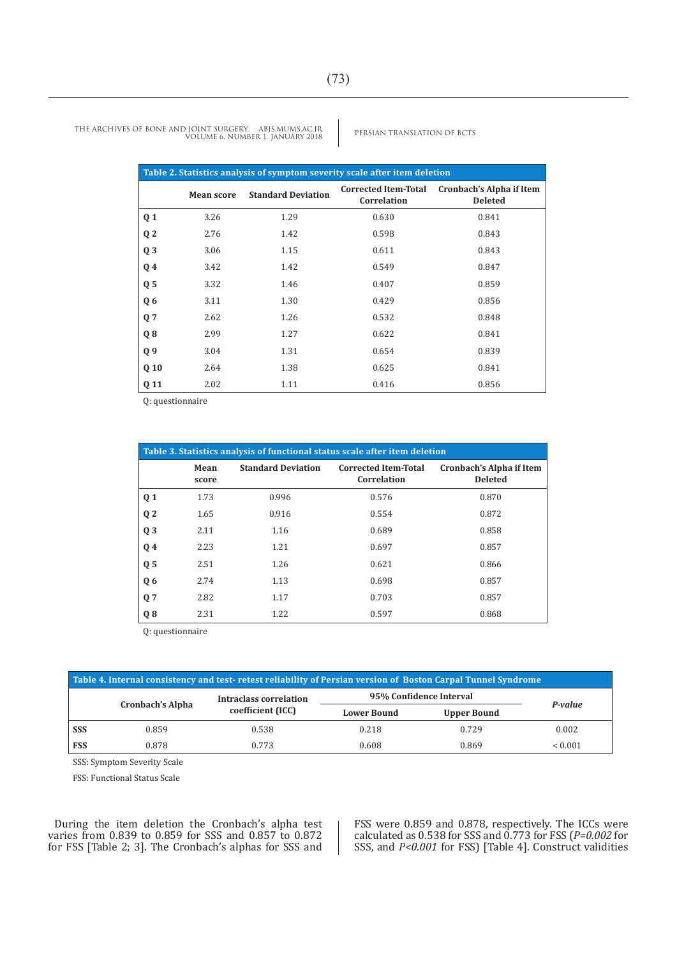| Table 2. Statistics analysis of symptom severity scale after item deletion |                   |                           |                                            |                                                   |  |
|----------------------------------------------------------------------------|-------------------|---------------------------|--------------------------------------------|---------------------------------------------------|--|
|                                                                            | <b>Mean score</b> | <b>Standard Deviation</b> | <b>Corrected Item-Total</b><br>Correlation | <b>Cronbach's Alpha if Item</b><br><b>Deleted</b> |  |
| Q <sub>1</sub>                                                             | 3.26              | 1.29                      | 0.630                                      | 0.841                                             |  |
| Q <sub>2</sub>                                                             | 2.76              | 1.42                      | 0.598                                      | 0.843                                             |  |
| Q <sub>3</sub>                                                             | 3.06              | 1.15                      | 0.611                                      | 0.843                                             |  |
| Q <sub>4</sub>                                                             | 3.42              | 1.42                      | 0.549                                      | 0.847                                             |  |
| Q <sub>5</sub>                                                             | 3.32              | 1.46                      | 0.407                                      | 0.859                                             |  |
| Q <sub>6</sub>                                                             | 3.11              | 1.30                      | 0.429                                      | 0.856                                             |  |
| Q <sub>7</sub>                                                             | 2.62              | 1.26                      | 0.532                                      | 0.848                                             |  |
| $Q_8$                                                                      | 2.99              | 1.27                      | 0.622                                      | 0.841                                             |  |
| Q <sub>9</sub>                                                             | 3.04              | 1.31                      | 0.654                                      | 0.839                                             |  |
| Q <sub>10</sub>                                                            | 2.64              | 1.38                      | 0.625                                      | 0.841                                             |  |
| Q 11                                                                       | 2.02              | 1.11                      | 0.416                                      | 0.856                                             |  |

Q: questionnaire

|                |               |                           | Table 3. Statistics analysis of functional status scale after item deletion |                                            |
|----------------|---------------|---------------------------|-----------------------------------------------------------------------------|--------------------------------------------|
|                | Mean<br>score | <b>Standard Deviation</b> | <b>Corrected Item-Total</b><br>Correlation                                  | Cronbach's Alpha if Item<br><b>Deleted</b> |
| Q <sub>1</sub> | 1.73          | 0.996                     | 0.576                                                                       | 0.870                                      |
| Q <sub>2</sub> | 1.65          | 0.916                     | 0.554                                                                       | 0.872                                      |
| Q <sub>3</sub> | 2.11          | 1.16                      | 0.689                                                                       | 0.858                                      |
| Q <sub>4</sub> | 2.23          | 1.21                      | 0.697                                                                       | 0.857                                      |
| Q <sub>5</sub> | 2.51          | 1.26                      | 0.621                                                                       | 0.866                                      |
| Q <sub>6</sub> | 2.74          | 1.13                      | 0.698                                                                       | 0.857                                      |
| Q <sub>7</sub> | 2.82          | 1.17                      | 0.703                                                                       | 0.857                                      |
| $Q_8$          | 2.31          | 1.22                      | 0.597                                                                       | 0.868                                      |

Q: questionnaire

| Table 4. Internal consistency and test-retest reliability of Persian version of Boston Carpal Tunnel Syndrome |                         |                        |                         |                    |         |
|---------------------------------------------------------------------------------------------------------------|-------------------------|------------------------|-------------------------|--------------------|---------|
|                                                                                                               | <b>Cronbach's Alpha</b> | Intraclass correlation | 95% Confidence Interval | P-value            |         |
|                                                                                                               |                         | coefficient (ICC)      | <b>Lower Bound</b>      | <b>Upper Bound</b> |         |
| <b>SSS</b>                                                                                                    | 0.859                   | 0.538                  | 0.218                   | 0.729              | 0.002   |
| <b>FSS</b>                                                                                                    | 0.878                   | 0.773                  | 0.608                   | 0.869              | < 0.001 |

SSS: Symptom Severity Scale

FSS: Functional Status Scale

During the item deletion the Cronbach's alpha test varies from 0.839 to 0.859 for SSS and 0.857 to 0.872 for FSS [Table 2; 3]. The Cronbach's alphas for SSS and FSS were 0.859 and 0.878, respectively. The ICCs were calculated as 0.538 for SSS and 0.773 for FSS (*P=0.002* for SSS, and *P<0.001* for FSS) [Table 4]. Construct validities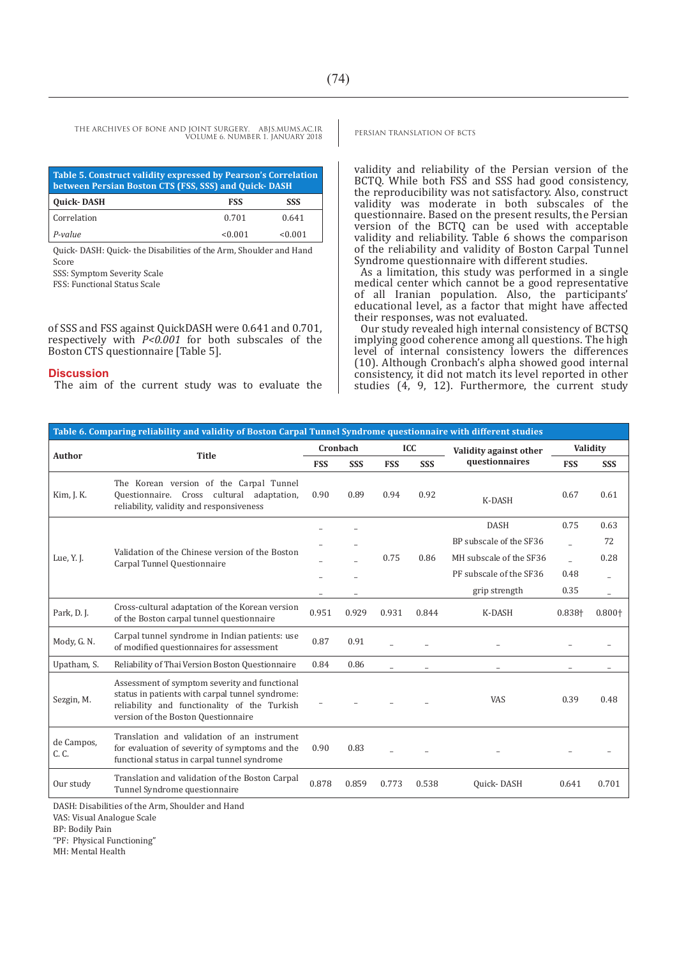THE ARCHIVES OF BONE AND JOINT SURGERY. ABJS.MUMS.AC.IR PERSIAN TRANSLATION OF BCTS VOLUME 6. NUMBER 1. JANUARY 2018

| Table 5. Construct validity expressed by Pearson's Correlation<br>between Persian Boston CTS (FSS, SSS) and Quick-DASH |         |            |  |  |
|------------------------------------------------------------------------------------------------------------------------|---------|------------|--|--|
| <b>Quick-DASH</b>                                                                                                      | FSS     | <b>SSS</b> |  |  |
| Correlation                                                                                                            | 0.701   | 0.641      |  |  |
| P-value                                                                                                                | < 0.001 | < 0.001    |  |  |

Quick- DASH: Quick- the Disabilities of the Arm, Shoulder and Hand Score

SSS: Symptom Severity Scale

FSS: Functional Status Scale

of SSS and FSS against QuickDASH were 0.641 and 0.701, respectively with *P<0.001* for both subscales of the Boston CTS questionnaire [Table 5].

#### **Discussion**

The aim of the current study was to evaluate the

validity and reliability of the Persian version of the BCTQ. While both FSS and SSS had good consistency, the reproducibility was not satisfactory. Also, construct validity was moderate in both subscales of the questionnaire. Based on the present results, the Persian version of the BCTQ can be used with acceptable validity and reliability. Table 6 shows the comparison of the reliability and validity of Boston Carpal Tunnel Syndrome questionnaire with different studies.

As a limitation, this study was performed in a single medical center which cannot be a good representative of all Iranian population. Also, the participants' educational level, as a factor that might have affected their responses, was not evaluated.

Our study revealed high internal consistency of BCTSQ implying good coherence among all questions. The high level of internal consistency lowers the differences (10). Although Cronbach's alpha showed good internal consistency, it did not match its level reported in other studies  $(4, 9, 12)$ . Furthermore, the current study

| Table 6. Comparing reliability and validity of Boston Carpal Tunnel Syndrome questionnaire with different studies |                                                                                                                                                                                         |            |            |            |            |                         |            |                          |
|-------------------------------------------------------------------------------------------------------------------|-----------------------------------------------------------------------------------------------------------------------------------------------------------------------------------------|------------|------------|------------|------------|-------------------------|------------|--------------------------|
| Author                                                                                                            | <b>Title</b>                                                                                                                                                                            | Cronbach   |            |            | ICC        | Validity against other  | Validity   |                          |
|                                                                                                                   |                                                                                                                                                                                         | <b>FSS</b> | <b>SSS</b> | <b>FSS</b> | <b>SSS</b> | questionnaires          | <b>FSS</b> | <b>SSS</b>               |
| Kim, J. K.                                                                                                        | The Korean version of the Carpal Tunnel<br>Questionnaire. Cross cultural adaptation,<br>reliability, validity and responsiveness                                                        | 0.90       | 0.89       | 0.94       | 0.92       | K-DASH                  | 0.67       | 0.61                     |
|                                                                                                                   |                                                                                                                                                                                         |            |            |            |            | <b>DASH</b>             | 0.75       | 0.63                     |
|                                                                                                                   |                                                                                                                                                                                         |            |            |            |            | BP subscale of the SF36 |            | 72                       |
| Lue, Y. J.                                                                                                        | Validation of the Chinese version of the Boston<br>Carpal Tunnel Questionnaire                                                                                                          |            |            | 0.75       | 0.86       | MH subscale of the SF36 |            | 0.28                     |
|                                                                                                                   |                                                                                                                                                                                         |            |            |            |            | PF subscale of the SF36 | 0.48       |                          |
|                                                                                                                   |                                                                                                                                                                                         |            |            |            |            | grip strength           | 0.35       | $\overline{\phantom{0}}$ |
| Park, D. J.                                                                                                       | Cross-cultural adaptation of the Korean version<br>of the Boston carpal tunnel questionnaire                                                                                            | 0.951      | 0.929      | 0.931      | 0.844      | K-DASH                  | 0.838+     | $0.800+$                 |
| Mody, G. N.                                                                                                       | Carpal tunnel syndrome in Indian patients: use<br>of modified questionnaires for assessment                                                                                             | 0.87       | 0.91       |            |            |                         |            |                          |
| Upatham, S.                                                                                                       | Reliability of Thai Version Boston Questionnaire                                                                                                                                        | 0.84       | 0.86       | ÷          |            |                         |            |                          |
| Sezgin, M.                                                                                                        | Assessment of symptom severity and functional<br>status in patients with carpal tunnel syndrome:<br>reliability and functionality of the Turkish<br>version of the Boston Questionnaire |            |            |            |            | VAS                     | 0.39       | 0.48                     |
| de Campos,<br>C. C.                                                                                               | Translation and validation of an instrument<br>for evaluation of severity of symptoms and the<br>functional status in carpal tunnel syndrome                                            | 0.90       | 0.83       |            |            |                         |            |                          |
| Our study                                                                                                         | Translation and validation of the Boston Carpal<br>Tunnel Syndrome questionnaire                                                                                                        | 0.878      | 0.859      | 0.773      | 0.538      | Quick-DASH              | 0.641      | 0.701                    |

DASH: Disabilities of the Arm, Shoulder and Hand

VAS: Visual Analogue Scale

BP: Bodily Pain

"PF: Physical Functioning"

MH: Mental Health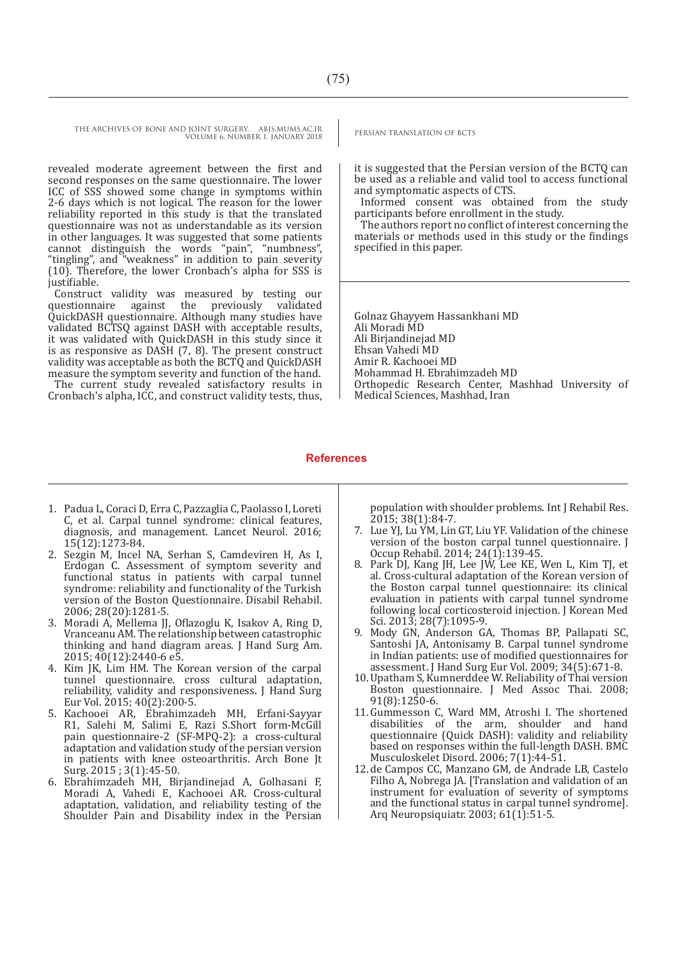THE ARCHIVES OF BONE AND JOINT SURGERY. ABJS.MUMS.AC.IR PERSIAN TRANSLATION OF BCTS VOLUME 6. NUMBER 1. JANUARY 2018

revealed moderate agreement between the first and second responses on the same questionnaire. The lower ICC of SSS showed some change in symptoms within 2-6 days which is not logical. The reason for the lower reliability reported in this study is that the translated questionnaire was not as understandable as its version in other languages. It was suggested that some patients cannot distinguish the words "pain", "numbness", "tingling", and "weakness" in addition to pain severity (10). Therefore, the lower Cronbach's alpha for SSS is justifiable.

Construct validity was measured by testing our questionnaire against the previously validated QuickDASH questionnaire. Although many studies have validated BCTSQ against DASH with acceptable results, it was validated with QuickDASH in this study since it is as responsive as DASH (7, 8). The present construct validity was acceptable as both the BCTQ and QuickDASH measure the symptom severity and function of the hand. The current study revealed satisfactory results in

Cronbach's alpha, ICC, and construct validity tests, thus,

it is suggested that the Persian version of the BCTQ can be used as a reliable and valid tool to access functional and symptomatic aspects of CTS.

Informed consent was obtained from the study participants before enrollment in the study.

The authors report no conflict of interest concerning the materials or methods used in this study or the findings specified in this paper.

Golnaz Ghayyem Hassankhani MD Ali Moradi MD Ali Birjandinejad MD Ehsan Vahedi MD Amir R. Kachooei MD Mohammad H. Ebrahimzadeh MD Orthopedic Research Center, Mashhad University of Medical Sciences, Mashhad, Iran

#### **References**

- 1. Padua L, Coraci D, Erra C, Pazzaglia C, Paolasso I, Loreti C, et al. Carpal tunnel syndrome: clinical features, diagnosis, and management. Lancet Neurol. 2016; 15(12):1273-84.
- 2. Sezgin M, Incel NA, Serhan S, Camdeviren H, As I, Erdogan C. Assessment of symptom severity and functional status in patients with carpal tunnel syndrome: reliability and functionality of the Turkish version of the Boston Questionnaire. Disabil Rehabil. 2006; 28(20):1281-5.
- 3. Moradi A, Mellema JJ, Oflazoglu K, Isakov A, Ring D, Vranceanu AM. The relationship between catastrophic thinking and hand diagram areas. J Hand Surg Am. 2015; 40(12):2440-6 e5.
- 4. Kim JK, Lim HM. The Korean version of the carpal tunnel questionnaire. cross cultural adaptation, reliability, validity and responsiveness. J Hand Surg Eur Vol. 2015; 40(2):200-5.
- 5. Kachooei AR, Ebrahimzadeh MH, Erfani-Sayyar R1, Salehi M, Salimi E, Razi S.Short form-McGill pain questionnaire-2 (SF-MPQ-2): a cross-cultural adaptation and validation study of the persian version in patients with knee osteoarthritis. Arch Bone Jt Surg. 2015 ; 3(1):45-50.
- 6. Ebrahimzadeh MH, Birjandinejad A, Golhasani F, Moradi A, Vahedi E, Kachooei AR. Cross-cultural adaptation, validation, and reliability testing of the Shoulder Pain and Disability index in the Persian

population with shoulder problems. Int J Rehabil Res. 2015; 38(1):84-7.

- 7. Lue YJ, Lu YM, Lin GT, Liu YF. Validation of the chinese version of the boston carpal tunnel questionnaire. J Occup Rehabil. 2014; 24(1):139-45.
- 8. Park DJ, Kang JH, Lee JW, Lee KE, Wen L, Kim TJ, et al. Cross-cultural adaptation of the Korean version of the Boston carpal tunnel questionnaire: its clinical evaluation in patients with carpal tunnel syndrome following local corticosteroid injection. J Korean Med Sci. 2013; 28(7):1095-9.
- 9. Mody GN, Anderson GA, Thomas BP, Pallapati SC, Santoshi JA, Antonisamy B. Carpal tunnel syndrome in Indian patients: use of modified questionnaires for assessment. J Hand Surg Eur Vol. 2009; 34(5):671-8.
- 10.Upatham S, Kumnerddee W. Reliability of Thai version Boston questionnaire. J Med Assoc Thai. 2008; 91(8):1250-6.
- 11.Gummesson C, Ward MM, Atroshi I. The shortened disabilities of the arm, shoulder and hand questionnaire (Quick DASH): validity and reliability based on responses within the full-length DASH. BMC Musculoskelet Disord. 2006; 7(1):44-51.
- 12.de Campos CC, Manzano GM, de Andrade LB, Castelo Filho A, Nobrega JA. [Translation and validation of an instrument for evaluation of severity of symptoms and the functional status in carpal tunnel syndrome]. Arq Neuropsiquiatr. 2003; 61(1):51-5.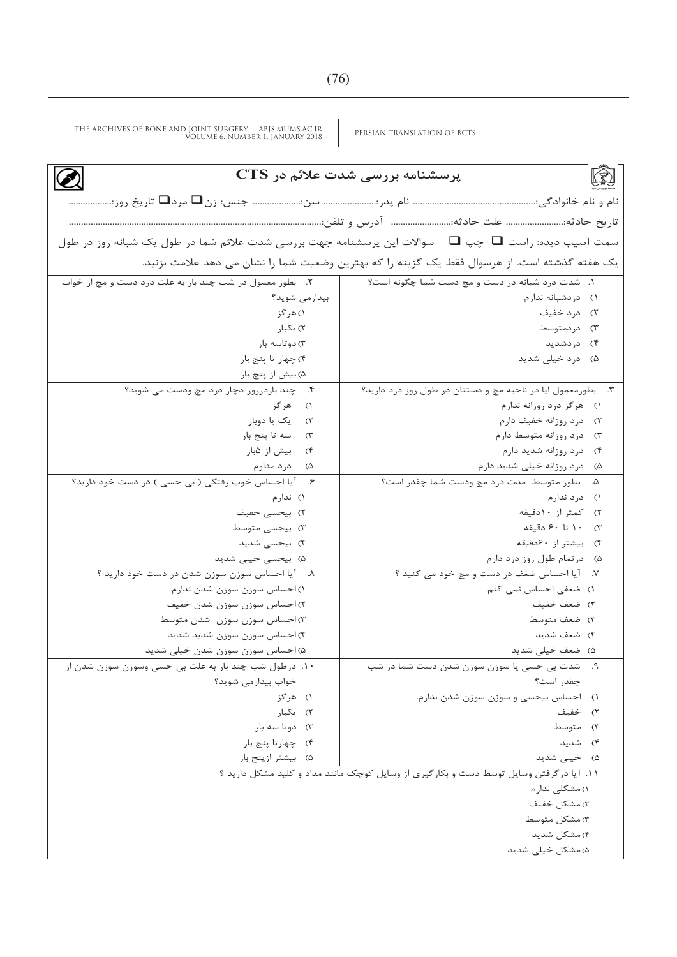PERSIAN TRANSLATION OF BCTS THE ARCHIVES OF BONE AND JOINT SURGERY. ABJS.MUMS.AC.IR VOLUME 6. NUMBER 1. JANUARY 2018

| پرسشنامه بررسی شدت علائم در CTS                                                                   |                                                                                              |  |  |  |  |
|---------------------------------------------------------------------------------------------------|----------------------------------------------------------------------------------------------|--|--|--|--|
|                                                                                                   |                                                                                              |  |  |  |  |
| تاریخ حادثه: علت حادثه: آدرس و تلفن:                                                              |                                                                                              |  |  |  |  |
| سمت آسیب دیده: راست ■ چپ ■ سوالات این پرسشنامه جهت بررسی شدت علائم شما در طول یک شبانه روز در طول |                                                                                              |  |  |  |  |
|                                                                                                   |                                                                                              |  |  |  |  |
|                                                                                                   | یک هفته گذشته است. از هرسوال فقط یک گزینه را که بهترین وضعیت شما را نشان می دهد علامت بزنید. |  |  |  |  |
| ٢. بطور معمول در شب چند بار به علت درد دست و مچ از خواب                                           | ١. شدت درد شبانه در دست و مچ دست شما چگونه است؟                                              |  |  |  |  |
| بیدارمی شوید؟                                                                                     | ۱) دردشبانه ندارم                                                                            |  |  |  |  |
| ۱) هرگز                                                                                           | ۲) درد خفیف                                                                                  |  |  |  |  |
| ۲) یکبار                                                                                          | ۳) دردمتوسط                                                                                  |  |  |  |  |
| ۳) دوتاسه بار                                                                                     | ۴) دردشدید                                                                                   |  |  |  |  |
| ۴) چهار تا پنج بار                                                                                | ۵) درد خیلی شدید                                                                             |  |  |  |  |
| ۵) بیش از پنج بار                                                                                 |                                                                                              |  |  |  |  |
| ۴. چند باردرروز دچار درد مچ ودست می شوید؟                                                         | ٣. بطورمعمول ايا در ناحيه مچ و دستتان در طول روز درد داريد؟                                  |  |  |  |  |
| ۱) هرگز                                                                                           | ۱) هرگز درد روزانه ندارم                                                                     |  |  |  |  |
| ٢) یک یا دوبار                                                                                    | ۲) درد روزانه خفیف دارم                                                                      |  |  |  |  |
| ٣) سه تا پنج بار                                                                                  | ۳) درد روزانه متوسط دارم                                                                     |  |  |  |  |
| ۴) بیش از ۵بار                                                                                    | ۴) درد روزانه شدید دارم                                                                      |  |  |  |  |
| ۵) درد مداوم                                                                                      | ۵) درد روزانه خیلی شدید دارم                                                                 |  |  |  |  |
| ۶. آیا احساس خوب رفتگی (بی حسی) در دست خود دارید؟                                                 | ۵. بطور متوسط مدت درد مچ ودست شما چقدر است؟                                                  |  |  |  |  |
| ۱) ندارم                                                                                          | ۱) درد ندارم                                                                                 |  |  |  |  |
| ۲) بیحسی خفیف                                                                                     | ۲) کمتر از ۱۰دقیقه                                                                           |  |  |  |  |
| ۳) بیحسی متوسط                                                                                    | ۳) ۱۰ تا ۶۰دقیقه                                                                             |  |  |  |  |
| ۴) بیحسی شدید                                                                                     | ۴) بیشتر از ۶۰دقیقه                                                                          |  |  |  |  |
| ۵) بیحسی خیلی شدید                                                                                | ۵) درتمام طول روز درد دارم                                                                   |  |  |  |  |
| ٨. آیا احساس سوزن سوزن شدن در دست خود دارید ؟                                                     | ٧. آیا احساس ضعف در دست و مچ خود می کنید ؟                                                   |  |  |  |  |
| ۱) احساس سوزن سوزن شدن ندارم                                                                      | ۱) ضعفی احساس نمی کنم                                                                        |  |  |  |  |
| ۲) احساس سوزن سوزن شدن خفیف                                                                       | ۲) ضعف خفیف                                                                                  |  |  |  |  |
| ۳)احساس سوزن سوزن شدن متوسط                                                                       | ۳) ضعف متوسط                                                                                 |  |  |  |  |
| ۴)احساس سوزن سوزن شدید شدید                                                                       | ۴) ضعف شدید                                                                                  |  |  |  |  |
| ۵) احساس سوزن سوزن شدن خیلی شدید                                                                  | ۵) ضعف خیلی شدید                                                                             |  |  |  |  |
| ۱۰. درطول شب چند بار به علت بی حسی وسوزن سوزن شدن از                                              | ۹.    شدت بی حسی یا سوزن سوزن شدن دست شما در شب                                              |  |  |  |  |
| خواب بيدارمي شويد؟                                                                                | چقدر است؟                                                                                    |  |  |  |  |
| ۱) هرگز                                                                                           | ١) احساس بيحسى و سوزن سوزن شدن ندارم.                                                        |  |  |  |  |
| ۲) یکبار                                                                                          | ۲) خفیف                                                                                      |  |  |  |  |
| ۳) دوتا سه بار                                                                                    | ۳) متوسط                                                                                     |  |  |  |  |
| ۴) چهارتا پنج بار                                                                                 | ۴) شدید                                                                                      |  |  |  |  |
| ۵) بیشتر ازپنج بار                                                                                | ۵) خیلی شدید                                                                                 |  |  |  |  |
|                                                                                                   | ١١. آيا در گرفتن وسايل توسط دست و بكار گيري از وسايل كوچک مانند مداد و كليد مشكل داريد ؟     |  |  |  |  |
|                                                                                                   | ۱) مشکلی ندارم                                                                               |  |  |  |  |
|                                                                                                   | ٢) مشكل خفيف                                                                                 |  |  |  |  |
| ۳) مشکل متوسط                                                                                     |                                                                                              |  |  |  |  |
| ۴) مشکل شدید                                                                                      |                                                                                              |  |  |  |  |
|                                                                                                   | ۵) مشکل خیلی شدید                                                                            |  |  |  |  |